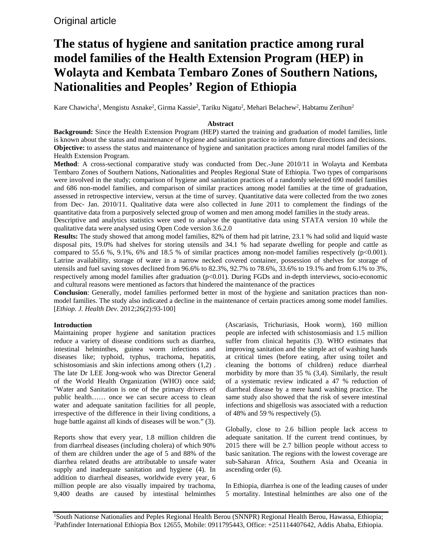# **The status of hygiene and sanitation practice among rural model families of the Health Extension Program (HEP) in Wolayta and Kembata Tembaro Zones of Southern Nations, Nationalities and Peoples' Region of Ethiopia**

Kare Chawicha<sup>1</sup>, Mengistu Asnake<sup>2</sup>, Girma Kassie<sup>2</sup>, Tariku Nigatu<sup>2</sup>, Mehari Belachew<sup>2</sup>, Habtamu Zerihun<sup>2</sup>

# **Abstract**

**Background:** Since the Health Extension Program (HEP) started the training and graduation of model families, little is known about the status and maintenance of hygiene and sanitation practice to inform future directions and decisions. **Objective:** to assess the status and maintenance of hygiene and sanitation practices among rural model families of the Health Extension Program.

**Method**: A cross-sectional comparative study was conducted from Dec.-June 2010/11 in Wolayta and Kembata Tembaro Zones of Southern Nations, Nationalities and Peoples Regional State of Ethiopia. Two types of comparisons were involved in the study; comparison of hygiene and sanitation practices of a randomly selected 690 model families and 686 non-model families, and comparison of similar practices among model families at the time of graduation, assessed in retrospective interview, versus at the time of survey. Quantitative data were collected from the two zones from Dec- Jan. 2010/11. Qualitative data were also collected in June 2011 to complement the findings of the quantitative data from a purposively selected group of women and men among model families in the study areas.

Descriptive and analytics statistics were used to analyse the quantitative data using STATA version 10 while the qualitative data were analysed using Open Code version 3.6.2.0

**Results:** The study showed that among model families, 82% of them had pit latrine, 23.1 % had solid and liquid waste disposal pits, 19.0% had shelves for storing utensils and 34.1 % had separate dwelling for people and cattle as compared to 55.6 %, 9.1%, 6% and 18.5 % of similar practices among non-model families respectively (p<0.001). Latrine availability, storage of water in a narrow necked covered container, possession of shelves for storage of utensils and fuel saving stoves declined from 96.6% to 82.3%, 92.7% to 78.6%, 33.6% to 19.1% and from 6.1% to 3%, respectively among model families after graduation (p<0.01). During FGDs and in-depth interviews, socio-economic and cultural reasons were mentioned as factors that hindered the maintenance of the practices

**Conclusion**: Generally, model families performed better in most of the hygiene and sanitation practices than nonmodel families. The study also indicated a decline in the maintenance of certain practices among some model families. [*Ethiop. J. Health Dev.* 2012;26(2):93-100]

# **Introduction**

Maintaining proper hygiene and sanitation practices reduce a variety of disease conditions such as diarrhea, intestinal helminthes, guinea worm infections and diseases like; typhoid, typhus, trachoma, hepatitis, schistosomiasis and skin infections among others (1,2) . The late Dr LEE Jong-wook who was Director General of the World Health Organization (WHO) once said; "Water and Sanitation is one of the primary drivers of public health…… once we can secure access to clean water and adequate sanitation facilities for all people, irrespective of the difference in their living conditions, a huge battle against all kinds of diseases will be won." (3).

Reports show that every year, 1.8 million children die from diarrheal diseases (including cholera) of which 90% of them are children under the age of 5 and 88% of the diarrhea related deaths are attributable to unsafe water supply and inadequate sanitation and hygiene (4). In addition to diarrheal diseases, worldwide every year, 6 million people are also visually impaired by trachoma, 9,400 deaths are caused by intestinal helminthes (Ascariasis, Trichuriasis, Hook worm), 160 million people are infected with schistosomiasis and 1.5 million suffer from clinical hepatitis (3). WHO estimates that improving sanitation and the simple act of washing hands at critical times (before eating, after using toilet and cleaning the bottoms of children) reduce diarrheal morbidity by more than 35 % (3,4). Similarly, the result of a systematic review indicated a 47 % reduction of diarrheal disease by a mere hand washing practice. The same study also showed that the risk of severe intestinal infections and shigellosis was associated with a reduction of 48% and 59 % respectively (5).

Globally, close to 2.6 billion people lack access to adequate sanitation. If the current trend continues, by 2015 there will be 2.7 billion people without access to basic sanitation. The regions with the lowest coverage are sub-Saharan Africa, Southern Asia and Oceania in ascending order (6).

In Ethiopia, diarrhea is one of the leading causes of under 5 mortality. Intestinal helminthes are also one of the

1 South Nationse Nationalies and Peples Regional Health Berou (SNNPR) Regional Health Berou, Hawassa, Ethiopia; 2 Pathfinder International Ethiopia Box 12655, Mobile: 0911795443, Office: +251114407642, Addis Ababa, Ethiopia.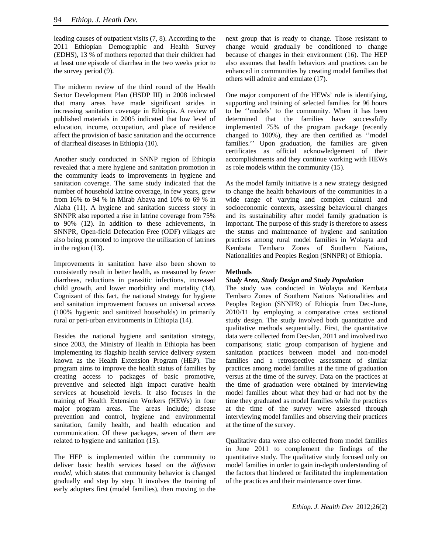leading causes of outpatient visits (7, 8). According to the 2011 Ethiopian Demographic and Health Survey (EDHS), 13 % of mothers reported that their children had at least one episode of diarrhea in the two weeks prior to the survey period (9).

The midterm review of the third round of the Health Sector Development Plan (HSDP III) in 2008 indicated that many areas have made significant strides in increasing sanitation coverage in Ethiopia. A review of published materials in 2005 indicated that low level of education, income, occupation, and place of residence affect the provision of basic sanitation and the occurrence of diarrheal diseases in Ethiopia (10).

Another study conducted in SNNP region of Ethiopia revealed that a mere hygiene and sanitation promotion in the community leads to improvements in hygiene and sanitation coverage. The same study indicated that the number of household latrine coverage, in few years, grew from 16% to 94 % in Mirab Abaya and 10% to 69 % in Alaba (11). A hygiene and sanitation success story in SNNPR also reported a rise in latrine coverage from 75% to 90% (12). In addition to these achievements, in SNNPR, Open-field Defecation Free (ODF) villages are also being promoted to improve the utilization of latrines in the region (13).

Improvements in sanitation have also been shown to consistently result in better health, as measured by fewer diarrheas, reductions in parasitic infections, increased child growth, and lower morbidity and mortality (14). Cognizant of this fact, the national strategy for hygiene and sanitation improvement focuses on universal access (100% hygienic and sanitized households) in primarily rural or peri-urban environments in Ethiopia (14).

Besides the national hygiene and sanitation strategy, since 2003, the Ministry of Health in Ethiopia has been implementing its flagship health service delivery system known as the Health Extension Program (HEP). The program aims to improve the health status of families by creating access to packages of basic promotive, preventive and selected high impact curative health services at household levels. It also focuses in the training of Health Extension Workers (HEWs) in four major program areas. The areas include; disease prevention and control, hygiene and environmental sanitation, family health, and health education and communication. Of these packages, seven of them are related to hygiene and sanitation (15).

The HEP is implemented within the community to deliver basic health services based on the *diffusion model,* which states that community behavior is changed gradually and step by step. It involves the training of early adopters first (model families), then moving to the

next group that is ready to change. Those resistant to change would gradually be conditioned to change because of changes in their environment (16). The HEP also assumes that health behaviors and practices can be enhanced in communities by creating model families that others will admire and emulate (17).

One major component of the HEWs' role is identifying, supporting and training of selected families for 96 hours to be ''models' to the community. When it has been determined that the families have successfully implemented 75% of the program package (recently changed to 100%), they are then certified as ''model families.'' Upon graduation, the families are given certificates as official acknowledgement of their accomplishments and they continue working with HEWs as role models within the community (15).

As the model family initiative is a new strategy designed to change the health behaviours of the communities in a wide range of varying and complex cultural and socioeconomic contexts, assessing behavioural changes and its sustainability after model family graduation is important. The purpose of this study is therefore to assess the status and maintenance of hygiene and sanitation practices among rural model families in Wolayta and Kembata Tembaro Zones of Southern Nations, Nationalities and Peoples Region (SNNPR) of Ethiopia.

## **Methods**

## *Study Area, Study Design and Study Population*

The study was conducted in Wolayta and Kembata Tembaro Zones of Southern Nations Nationalities and Peoples Region (SNNPR) of Ethiopia from Dec-June, 2010/11 by employing a comparative cross sectional study design. The study involved both quantitative and qualitative methods sequentially. First, the quantitative data were collected from Dec-Jan, 2011 and involved two comparisons; static group comparison of hygiene and sanitation practices between model and non-model families and a retrospective assessment of similar practices among model families at the time of graduation versus at the time of the survey. Data on the practices at the time of graduation were obtained by interviewing model families about what they had or had not by the time they graduated as model families while the practices at the time of the survey were assessed through interviewing model families and observing their practices at the time of the survey.

Qualitative data were also collected from model families in June 2011 to complement the findings of the quantitative study. The qualitative study focused only on model families in order to gain in-depth understanding of the factors that hindered or facilitated the implementation of the practices and their maintenance over time.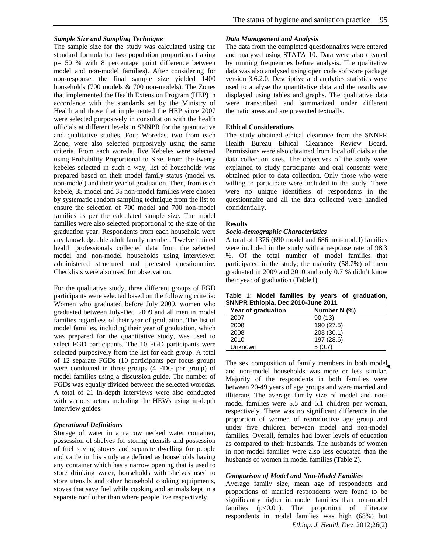### *Sample Size and Sampling Technique*

The sample size for the study was calculated using the standard formula for two population proportions (taking p= 50 % with 8 percentage point difference between model and non-model families). After considering for non-response, the final sample size yielded 1400 households (700 models & 700 non-models). The Zones that implemented the Health Extension Program (HEP) in accordance with the standards set by the Ministry of Health and those that implemented the HEP since 2007 were selected purposively in consultation with the health officials at different levels in SNNPR for the quantitative and qualitative studies. Four Woredas, two from each Zone, were also selected purposively using the same criteria. From each woreda, five Kebeles were selected using Probability Proportional to Size. From the twenty kebeles selected in such a way, list of households was prepared based on their model family status (model vs. non-model) and their year of graduation. Then, from each kebele, 35 model and 35 non-model families were chosen by systematic random sampling technique from the list to ensure the selection of 700 model and 700 non-model families as per the calculated sample size. The model families were also selected proportional to the size of the graduation year. Respondents from each household were any knowledgeable adult family member. Twelve trained health professionals collected data from the selected model and non-model households using interviewer administered structured and pretested questionnaire. Checklists were also used for observation.

For the qualitative study, three different groups of FGD participants were selected based on the following criteria: Women who graduated before July 2009, women who graduated between July-Dec. 2009 and all men in model families regardless of their year of graduation. The list of model families, including their year of graduation, which was prepared for the quantitative study, was used to select FGD participants. The 10 FGD participants were selected purposively from the list for each group. A total of 12 separate FGDs (10 participants per focus group) were conducted in three groups (4 FDG per group) of model families using a discussion guide. The number of FGDs was equally divided between the selected woredas. A total of 21 In-depth interviews were also conducted with various actors including the HEWs using in-depth interview guides.

## *Operational Definitions*

Storage of water in a narrow necked water container, possession of shelves for storing utensils and possession of fuel saving stoves and separate dwelling for people and cattle in this study are defined as households having any container which has a narrow opening that is used to store drinking water, households with shelves used to store utensils and other household cooking equipments, stoves that save fuel while cooking and animals kept in a separate roof other than where people live respectively.

#### *Data Management and Analysis*

The data from the completed questionnaires were entered and analysed using STATA 10. Data were also cleaned by running frequencies before analysis. The qualitative data was also analysed using open code software package version 3.6.2.0. Descriptive and analytics statistics were used to analyse the quantitative data and the results are displayed using tables and graphs. The qualitative data were transcribed and summarized under different thematic areas and are presented textually.

#### **Ethical Considerations**

The study obtained ethical clearance from the SNNPR Health Bureau Ethical Clearance Review Board. Permissions were also obtained from local officials at the data collection sites. The objectives of the study were explained to study participants and oral consents were obtained prior to data collection. Only those who were willing to participate were included in the study. There were no unique identifiers of respondents in the questionnaire and all the data collected were handled confidentially.

### **Results**

#### *Socio-demographic Characteristics*

A total of 1376 (690 model and 686 non-model) families were included in the study with a response rate of 98.3 %. Of the total number of model families that participated in the study, the majority (58.7%) of them graduated in 2009 and 2010 and only 0.7 % didn't know their year of graduation (Table1).

|  |                                    |  | Table 1: Model families by years of graduation, |
|--|------------------------------------|--|-------------------------------------------------|
|  | SNNPR Ethiopia, Dec.2010-June 2011 |  |                                                 |

| Year of graduation | Number N (%) |
|--------------------|--------------|
| 2007               | 90(13)       |
| 2008               | 190 (27.5)   |
| 2008               | 208 (30.1)   |
| 2010               | 197 (28.6)   |
| Unknown            | 5(0.7)       |

The sex composition of family members in both model and non-model households was more or less similar. Majority of the respondents in both families were between 20-49 years of age groups and were married and illiterate. The average family size of model and nonmodel families were 5.5 and 5.1 children per woman, respectively. There was no significant difference in the proportion of women of reproductive age group and under five children between model and non-model families. Overall, females had lower levels of education as compared to their husbands. The husbands of women in non-model families were also less educated than the husbands of women in model families (Table 2).

#### *Comparison of Model and Non-Model Families*

*Ethiop. J. Health Dev* 2012;26(2) Average family size, mean age of respondents and proportions of married respondents were found to be significantly higher in model families than non-model families  $(p<0.01)$ . The proportion of illiterate respondents in model families was high (68%) but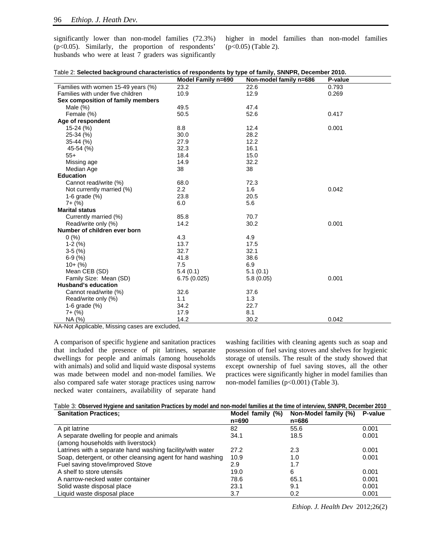significantly lower than non-model families (72.3%)  $(p<0.05)$ . Similarly, the proportion of respondents' husbands who were at least 7 graders was significantly higher in model families than non-model families (p<0.05) (Table 2).

|                                     | Model Family n=690 | Non-model family n=686 | P-value |
|-------------------------------------|--------------------|------------------------|---------|
| Families with women 15-49 years (%) | 23.2               | 22.6                   | 0.793   |
| Families with under five children   | 10.9               | 12.9                   | 0.269   |
| Sex composition of family members   |                    |                        |         |
| Male $(\%)$                         | 49.5               | 47.4                   |         |
| Female (%)                          | 50.5               | 52.6                   | 0.417   |
| Age of respondent                   |                    |                        |         |
| $15-24$ (%)                         | 8.8                | 12.4                   | 0.001   |
| 25-34 (%)                           | 30.0               | 28.2                   |         |
| 35-44 (%)                           | 27.9               | 12.2                   |         |
| 45-54 (%)                           | 32.3               | 16.1                   |         |
| $55+$                               | 18.4               | 15.0                   |         |
| Missing age                         | 14.9               | 32.2                   |         |
| Median Age                          | 38                 | 38                     |         |
| <b>Education</b>                    |                    |                        |         |
| Cannot read/write (%)               | 68.0               | 72.3                   |         |
| Not currently married (%)           | 2.2                | 1.6                    | 0.042   |
| 1-6 grade $(\%)$                    | 23.8               | 20.5                   |         |
| $7 + (%)$                           | 6.0                | 5.6                    |         |
| <b>Marital status</b>               |                    |                        |         |
| Currently married (%)               | 85.8               | 70.7                   |         |
| Read/write only (%)                 | 14.2               | 30.2                   | 0.001   |
| Number of children ever born        |                    |                        |         |
| 0(%)                                | 4.3                | 4.9                    |         |
| $1-2(%)$                            | 13.7               | 17.5                   |         |
| $3-5(%)$                            | 32.7               | 32.1                   |         |
| $6-9(%)$                            | 41.8               | 38.6                   |         |
| $10+(%)$                            | 7.5                | 6.9                    |         |
| Mean CEB (SD)                       | 5.4(0.1)           | 5.1(0.1)               |         |
| Family Size: Mean (SD)              | 6.75(0.025)        | 5.8(0.05)              | 0.001   |
| <b>Husband's education</b>          |                    |                        |         |
| Cannot read/write (%)               | 32.6               | 37.6                   |         |
| Read/write only (%)                 | 1.1                | 1.3                    |         |
| 1-6 grade $(\%)$                    | 34.2               | 22.7                   |         |
| $7 + (%)$                           | 17.9               | 8.1                    |         |
| NA (%)                              | 14.2               | 30.2                   | 0.042   |

| Table 2: Selected background characteristics of respondents by type of family, SNNPR, December 2010. |  |  |  |  |
|------------------------------------------------------------------------------------------------------|--|--|--|--|
|------------------------------------------------------------------------------------------------------|--|--|--|--|

NA-Not Applicable, Missing cases are excluded,

A comparison of specific hygiene and sanitation practices that included the presence of pit latrines, separate dwellings for people and animals (among households with animals) and solid and liquid waste disposal systems was made between model and non-model families. We also compared safe water storage practices using narrow necked water containers, availability of separate hand

washing facilities with cleaning agents such as soap and possession of fuel saving stoves and shelves for hygienic storage of utensils. The result of the study showed that except ownership of fuel saving stoves, all the other practices were significantly higher in model families than non-model families (p<0.001) (Table 3).

| Table 3: Observed Hygiene and sanitation Practices by model and non-model families at the time of interview, SNNPR, December 2010 |  |                                                                                                                                                                    |  |
|-----------------------------------------------------------------------------------------------------------------------------------|--|--------------------------------------------------------------------------------------------------------------------------------------------------------------------|--|
|                                                                                                                                   |  | $\mathbf{a}$ , $\mathbf{a}$ , $\mathbf{a}$ , $\mathbf{a}$ , $\mathbf{a}$ , $\mathbf{a}$ , $\mathbf{a}$ , $\mathbf{a}$ , $\mathbf{a}$ , $\mathbf{a}$ , $\mathbf{a}$ |  |

| <b>Sanitation Practices:</b>                               | Model family (%)<br>$n = 690$ | Non-Model family (%)<br>n=686 | P-value |
|------------------------------------------------------------|-------------------------------|-------------------------------|---------|
| A pit latrine                                              | 82                            | 55.6                          | 0.001   |
| A separate dwelling for people and animals                 | 34.1                          | 18.5                          | 0.001   |
| (among households with liverstock)                         |                               |                               |         |
| Latrines with a separate hand washing facility/with water  | 27.2                          | 2.3                           | 0.001   |
| Soap, detergent, or other cleansing agent for hand washing | 10.9                          | 1.0                           | 0.001   |
| Fuel saving stove/improved Stove                           | 2.9                           | 1.7                           |         |
| A shelf to store utensils                                  | 19.0                          | 6                             | 0.001   |
| A narrow-necked water container                            | 78.6                          | 65.1                          | 0.001   |
| Solid waste disposal place                                 | 23.1                          | 9.1                           | 0.001   |
| Liquid waste disposal place                                | 3.7                           | 0.2                           | 0.001   |

*Ethiop. J. Health Dev* 2012;26(2)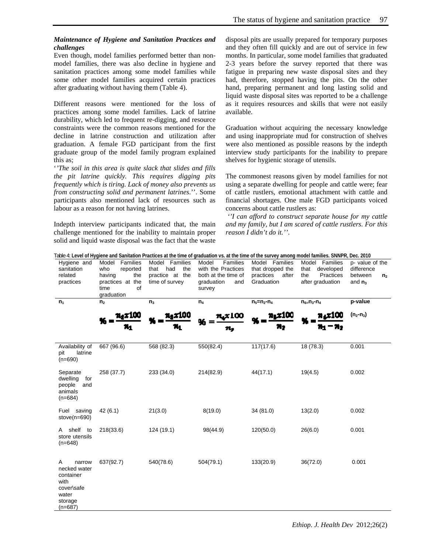# *Maintenance of Hygiene and Sanitation Practices and challenges*

Even though, model families performed better than nonmodel families, there was also decline in hygiene and sanitation practices among some model families while some other model families acquired certain practices after graduating without having them (Table 4).

Different reasons were mentioned for the loss of practices among some model families. Lack of latrine durability, which led to frequent re-digging, and resource constraints were the common reasons mentioned for the decline in latrine construction and utilization after graduation. A female FGD participant from the first graduate group of the model family program explained this as;

'*'The soil in this area is quite slack that slides and fills the pit latrine quickly. This requires digging pits frequently which is tiring. Lack of money also prevents us from constructing solid and permanent latrines*.''. Some participants also mentioned lack of resources such as labour as a reason for not having latrines.

Indepth interview participants indicated that, the main challenge mentioned for the inability to maintain proper solid and liquid waste disposal was the fact that the waste disposal pits are usually prepared for temporary purposes and they often fill quickly and are out of service in few months. In particular, some model families that graduated 2-3 years before the survey reported that there was fatigue in preparing new waste disposal sites and they had, therefore, stopped having the pits. On the other hand, preparing permanent and long lasting solid and liquid waste disposal sites was reported to be a challenge as it requires resources and skills that were not easily available.

Graduation without acquiring the necessary knowledge and using inappropriate mud for construction of shelves were also mentioned as possible reasons by the indepth interview study participants for the inability to prepare shelves for hygienic storage of utensils.

The commonest reasons given by model families for not using a separate dwelling for people and cattle were; fear of cattle rustlers, emotional attachment with cattle and financial shortages. One male FGD participants voiced concerns about cattle rustlers as:

*''I can afford to construct separate house for my cattle and my family, but I am scared of cattle rustlers. For this reason I didn't do it.''*.

| Table 4: Level of Hygiene and Sanitation Practices at the time of graduation vs. at the time of the survey among model families. SNNPR, Dec. 2010 |                                                                                                       |                                                                           |                                                                                               |                                                                        |                                                                             |                                                                         |  |
|---------------------------------------------------------------------------------------------------------------------------------------------------|-------------------------------------------------------------------------------------------------------|---------------------------------------------------------------------------|-----------------------------------------------------------------------------------------------|------------------------------------------------------------------------|-----------------------------------------------------------------------------|-------------------------------------------------------------------------|--|
| Hygiene and<br>sanitation<br>related<br>practices                                                                                                 | Model<br>Families<br>who<br>reported<br>the<br>having<br>practices at the<br>of<br>time<br>graduation | Model Families<br>had<br>that<br>the<br>practice at the<br>time of survey | Families<br>Model<br>with the Practices<br>both at the time of<br>graduation<br>and<br>survey | Model Families<br>that dropped the<br>practices<br>after<br>Graduation | Model Families<br>that<br>developed<br>Practices<br>the<br>after graduation | p- value of the<br>difference<br>between<br>n <sub>2</sub><br>and $n_3$ |  |
| $n_1$                                                                                                                                             | n <sub>2</sub>                                                                                        | n <sub>3</sub>                                                            | $n_4$                                                                                         | $n_5=n_2-n_4$                                                          | $n_{6=}n_{3}$ - $n_{4}$                                                     | p-value                                                                 |  |
|                                                                                                                                                   | 71.x 100                                                                                              | n. r 100                                                                  | r 100                                                                                         | 71, X 100                                                              |                                                                             | $(n_2 - n_3)$                                                           |  |
| Availability of<br>pit<br>latrine<br>$(n=690)$                                                                                                    | 667 (96.6)                                                                                            | 568 (82.3)                                                                | 550(82.4)                                                                                     | 117(17.6)                                                              | 18(78.3)                                                                    | 0.001                                                                   |  |
| Separate<br>for<br>dwelling<br>people<br>and<br>animals<br>$(n=684)$                                                                              | 258 (37.7)                                                                                            | 233 (34.0)                                                                | 214(82.9)                                                                                     | 44(17.1)                                                               | 19(4.5)                                                                     | 0.002                                                                   |  |
| Fuel saving<br>$store(n=690)$                                                                                                                     | 42(6.1)                                                                                               | 21(3.0)                                                                   | 8(19.0)                                                                                       | 34(81.0)                                                               | 13(2.0)                                                                     | 0.002                                                                   |  |
| shelf to<br>A<br>store utensils<br>$(n=648)$                                                                                                      | 218(33.6)                                                                                             | 124 (19.1)                                                                | 98(44.9)                                                                                      | 120(50.0)                                                              | 26(6.0)                                                                     | 0.001                                                                   |  |
| A<br>narrow<br>necked water<br>container<br>with<br>cover\safe<br>water<br>storage<br>$(n=687)$                                                   | 637(92.7)                                                                                             | 540(78.6)                                                                 | 504(79.1)                                                                                     | 133(20.9)                                                              | 36(72.0)                                                                    | 0.001                                                                   |  |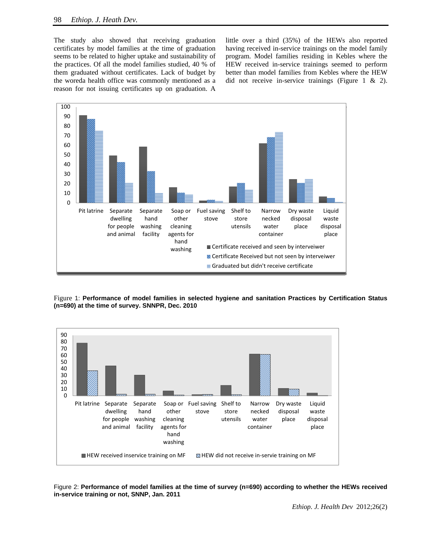The study also showed that receiving graduation certificates by model families at the time of graduation seems to be related to higher uptake and sustainability of the practices. Of all the model families studied, 40 % of them graduated without certificates. Lack of budget by the woreda health office was commonly mentioned as a reason for not issuing certificates up on graduation. A little over a third (35%) of the HEWs also reported having received in-service trainings on the model family program. Model families residing in Kebles where the HEW received in-service trainings seemed to perform better than model families from Kebles where the HEW did not receive in-service trainings (Figure 1 & 2).



Figure 1: **Performance of model families in selected hygiene and sanitation Practices by Certification Status (n=690) at the time of survey. SNNPR, Dec. 2010** 



Figure 2: **Performance of model families at the time of survey (n=690) according to whether the HEWs received in-service training or not, SNNP, Jan. 2011**

*Ethiop. J. Health Dev* 2012;26(2)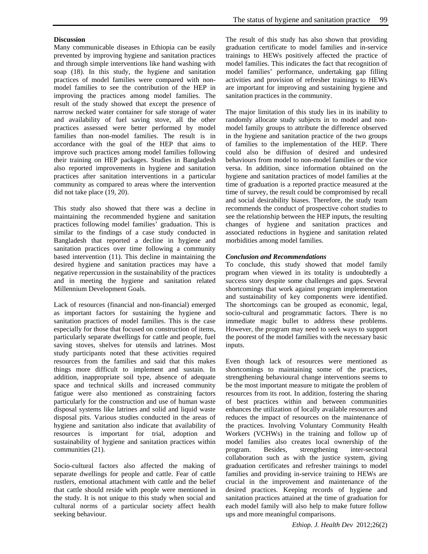# **Discussion**

Many communicable diseases in Ethiopia can be easily prevented by improving hygiene and sanitation practices and through simple interventions like hand washing with soap (18). In this study, the hygiene and sanitation practices of model families were compared with nonmodel families to see the contribution of the HEP in improving the practices among model families. The result of the study showed that except the presence of narrow necked water container for safe storage of water and availability of fuel saving stove, all the other practices assessed were better performed by model families than non-model families. The result is in accordance with the goal of the HEP that aims to improve such practices among model families following their training on HEP packages. Studies in Bangladesh also reported improvements in hygiene and sanitation practices after sanitation interventions in a particular community as compared to areas where the intervention did not take place (19, 20).

This study also showed that there was a decline in maintaining the recommended hygiene and sanitation practices following model families' graduation. This is similar to the findings of a case study conducted in Bangladesh that reported a decline in hygiene and sanitation practices over time following a community based intervention (11). This decline in maintaining the desired hygiene and sanitation practices may have a negative repercussion in the sustainability of the practices and in meeting the hygiene and sanitation related Millennium Development Goals.

Lack of resources (financial and non-financial) emerged as important factors for sustaining the hygiene and sanitation practices of model families. This is the case especially for those that focused on construction of items, particularly separate dwellings for cattle and people, fuel saving stoves, shelves for utensils and latrines. Most study participants noted that these activities required resources from the families and said that this makes things more difficult to implement and sustain. In addition, inappropriate soil type, absence of adequate space and technical skills and increased community fatigue were also mentioned as constraining factors particularly for the construction and use of human waste disposal systems like latrines and solid and liquid waste disposal pits. Various studies conducted in the areas of hygiene and sanitation also indicate that availability of resources is important for trial, adoption and sustainability of hygiene and sanitation practices within communities (21).

Socio-cultural factors also affected the making of separate dwellings for people and cattle. Fear of cattle rustlers, emotional attachment with cattle and the belief that cattle should reside with people were mentioned in the study. It is not unique to this study when social and cultural norms of a particular society affect health seeking behaviour.

The result of this study has also shown that providing graduation certificate to model families and in-service trainings to HEWs positively affected the practice of model families. This indicates the fact that recognition of model families' performance, undertaking gap filling activities and provision of refresher trainings to HEWs are important for improving and sustaining hygiene and sanitation practices in the community.

The major limitation of this study lies in its inability to randomly allocate study subjects in to model and nonmodel family groups to attribute the difference observed in the hygiene and sanitation practice of the two groups of families to the implementation of the HEP. There could also be diffusion of desired and undesired behaviours from model to non-model families or the vice versa. In addition, since information obtained on the hygiene and sanitation practices of model families at the time of graduation is a reported practice measured at the time of survey, the result could be compromised by recall and social desirability biases. Therefore, the study team recommends the conduct of prospective cohort studies to see the relationship between the HEP inputs, the resulting changes of hygiene and sanitation practices and associated reductions in hygiene and sanitation related morbidities among model families.

## *Conclusion and Recommendations*

To conclude, this study showed that model family program when viewed in its totality is undoubtedly a success story despite some challenges and gaps. Several shortcomings that work against program implementation and sustainability of key components were identified. The shortcomings can be grouped as economic, legal, socio-cultural and programmatic factors. There is no immediate magic bullet to address these problems. However, the program may need to seek ways to support the poorest of the model families with the necessary basic inputs.

Even though lack of resources were mentioned as shortcomings to maintaining some of the practices, strengthening behavioural change interventions seems to be the most important measure to mitigate the problem of resources from its root. In addition, fostering the sharing of best practices within and between communities enhances the utilization of locally available resources and reduces the impact of resources on the maintenance of the practices. Involving Voluntary Community Health Workers (VCHWs) in the training and follow up of model families also creates local ownership of the program. Besides, strengthening inter-sectoral collaboration such as with the justice system, giving graduation certificates and refresher trainings to model families and providing in-service training to HEWs are crucial in the improvement and maintenance of the desired practices. Keeping records of hygiene and sanitation practices attained at the time of graduation for each model family will also help to make future follow ups and more meaningful comparisons.